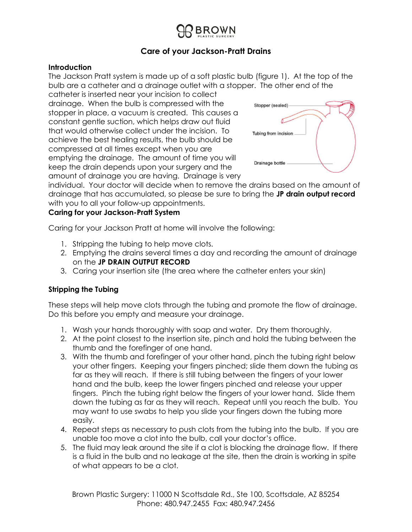# **Care of your Jackson-Pratt Drains**

#### **Introduction**

The Jackson Pratt system is made up of a soft plastic bulb (figure 1). At the top of the bulb are a catheter and a drainage outlet with a stopper. The other end of the

catheter is inserted near your incision to collect drainage. When the bulb is compressed with the stopper in place, a vacuum is created. This causes a constant gentle suction, which helps draw out fluid that would otherwise collect under the incision. To achieve the best healing results, the bulb should be compressed at all times except when you are emptying the drainage. The amount of time you will keep the drain depends upon your surgery and the amount of drainage you are having. Drainage is very



individual. Your doctor will decide when to remove the drains based on the amount of drainage that has accumulated, so please be sure to bring the **JP drain output record** with you to all your follow-up appointments.

### **Caring for your Jackson-Pratt System**

Caring for your Jackson Pratt at home will involve the following:

- 1. Stripping the tubing to help move clots.
- 2. Emptying the drains several times a day and recording the amount of drainage on the **JP DRAIN OUTPUT RECORD**
- 3. Caring your insertion site (the area where the catheter enters your skin)

#### **Stripping the Tubing**

These steps will help move clots through the tubing and promote the flow of drainage. Do this before you empty and measure your drainage.

- 1. Wash your hands thoroughly with soap and water. Dry them thoroughly.
- 2. At the point closest to the insertion site, pinch and hold the tubing between the thumb and the forefinger of one hand.
- 3. With the thumb and forefinger of your other hand, pinch the tubing right below your other fingers. Keeping your fingers pinched; slide them down the tubing as far as they will reach. If there is still tubing between the fingers of your lower hand and the bulb, keep the lower fingers pinched and release your upper fingers. Pinch the tubing right below the fingers of your lower hand. Slide them down the tubing as far as they will reach. Repeat until you reach the bulb. You may want to use swabs to help you slide your fingers down the tubing more easily.
- 4. Repeat steps as necessary to push clots from the tubing into the bulb. If you are unable too move a clot into the bulb, call your doctor's office.
- 5. The fluid may leak around the site if a clot is blocking the drainage flow. If there is a fluid in the bulb and no leakage at the site, then the drain is working in spite of what appears to be a clot.

Brown Plastic Surgery: 11000 N Scottsdale Rd., Ste 100, Scottsdale, AZ 85254 Phone: 480.947.2455 Fax: 480.947.2456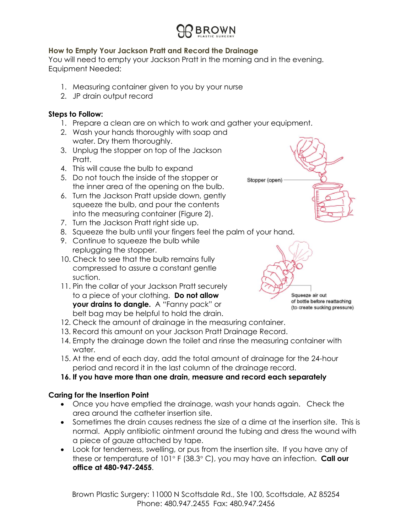

# **How to Empty Your Jackson Pratt and Record the Drainage**

You will need to empty your Jackson Pratt in the morning and in the evening. Equipment Needed:

- 1. Measuring container given to you by your nurse
- 2. JP drain output record

#### **Steps to Follow:**

- 1. Prepare a clean are on which to work and gather your equipment.
- 2. Wash your hands thoroughly with soap and water. Dry them thoroughly.
- 3. Unplug the stopper on top of the Jackson Pratt.
- 4. This will cause the bulb to expand
- 5. Do not touch the inside of the stopper or the inner area of the opening on the bulb.
- 6. Turn the Jackson Pratt upside down, gently squeeze the bulb, and pour the contents into the measuring container (Figure 2).
- 7. Turn the Jackson Pratt right side up.
- 8. Squeeze the bulb until your fingers feel the palm of your hand.
- 9. Continue to squeeze the bulb while replugging the stopper.
- 10. Check to see that the bulb remains fully compressed to assure a constant gentle suction.
- 11. Pin the collar of your Jackson Pratt securely to a piece of your clothing. **Do not allow your drains to dangle.** A "Fanny pack" or belt bag may be helpful to hold the drain.
- 12. Check the amount of drainage in the measuring container.
- 13. Record this amount on your Jackson Pratt Drainage Record.
- 14. Empty the drainage down the toilet and rinse the measuring container with water.
- 15. At the end of each day, add the total amount of drainage for the 24-hour period and record it in the last column of the drainage record.
- **16. If you have more than one drain, measure and record each separately**

#### **Caring for the Insertion Point**

- Once you have emptied the drainage, wash your hands again. Check the area around the catheter insertion site.
- Sometimes the drain causes redness the size of a dime at the insertion site. This is normal. Apply antibiotic ointment around the tubing and dress the wound with a piece of gauze attached by tape.
- Look for tenderness, swelling, or pus from the insertion site. If you have any of these or temperature of 101° F (38.3° C), you may have an infection. **Call our office at 480-947-2455**.

Brown Plastic Surgery: 11000 N Scottsdale Rd., Ste 100, Scottsdale, AZ 85254 Phone: 480.947.2455 Fax: 480.947.2456



Squeeze air out of bottle before reattaching (to create sucking pressure)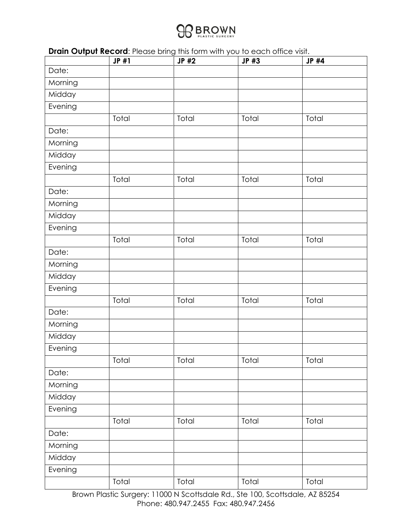

**Drain Output Record:** Please bring this form with you to each office visit.

|         | JP #1 | JP #2 | JP #3 | JP #4 |
|---------|-------|-------|-------|-------|
| Date:   |       |       |       |       |
| Morning |       |       |       |       |
| Midday  |       |       |       |       |
| Evening |       |       |       |       |
|         | Total | Total | Total | Total |
| Date:   |       |       |       |       |
| Morning |       |       |       |       |
| Midday  |       |       |       |       |
| Evening |       |       |       |       |
|         | Total | Total | Total | Total |
| Date:   |       |       |       |       |
| Morning |       |       |       |       |
| Midday  |       |       |       |       |
| Evening |       |       |       |       |
|         | Total | Total | Total | Total |
| Date:   |       |       |       |       |
| Morning |       |       |       |       |
| Midday  |       |       |       |       |
| Evening |       |       |       |       |
|         | Total | Total | Total | Total |
| Date:   |       |       |       |       |
| Morning |       |       |       |       |
| Midday  |       |       |       |       |
| Evening |       |       |       |       |
|         | Total | Total | Total | Total |
| Date:   |       |       |       |       |
| Morning |       |       |       |       |
| Midday  |       |       |       |       |
| Evening |       |       |       |       |
|         | Total | Total | Total | Total |
| Date:   |       |       |       |       |
| Morning |       |       |       |       |
| Midday  |       |       |       |       |
| Evening |       |       |       |       |
|         | Total | Total | Total | Total |

Brown Plastic Surgery: 11000 N Scottsdale Rd., Ste 100, Scottsdale, AZ 85254 Phone: 480.947.2455 Fax: 480.947.2456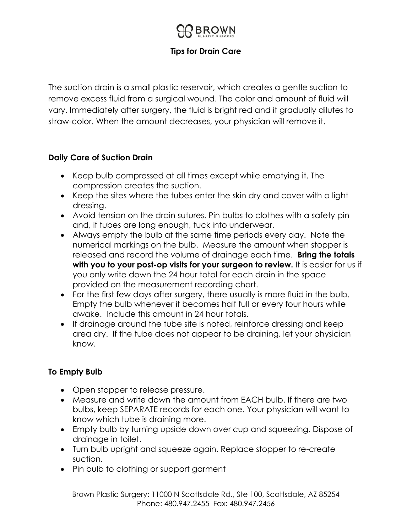# **Tips for Drain Care**

The suction drain is a small plastic reservoir, which creates a gentle suction to remove excess fluid from a surgical wound. The color and amount of fluid will vary. Immediately after surgery, the fluid is bright red and it gradually dilutes to straw-color. When the amount decreases, your physician will remove it.

# **Daily Care of Suction Drain**

- Keep bulb compressed at all times except while emptying it. The compression creates the suction.
- Keep the sites where the tubes enter the skin dry and cover with a light dressing.
- Avoid tension on the drain sutures. Pin bulbs to clothes with a safety pin and, if tubes are long enough, tuck into underwear.
- Always empty the bulb at the same time periods every day. Note the numerical markings on the bulb. Measure the amount when stopper is released and record the volume of drainage each time. **Bring the totals with you to your post-op visits for your surgeon to review.** It is easier for us if you only write down the 24 hour total for each drain in the space provided on the measurement recording chart.
- For the first few days after surgery, there usually is more fluid in the bulb. Empty the bulb whenever it becomes half full or every four hours while awake. Include this amount in 24 hour totals.
- If drainage around the tube site is noted, reinforce dressing and keep area dry. If the tube does not appear to be draining, let your physician know.

# **To Empty Bulb**

- Open stopper to release pressure.
- Measure and write down the amount from EACH bulb. If there are two bulbs, keep SEPARATE records for each one. Your physician will want to know which tube is draining more.
- Empty bulb by turning upside down over cup and squeezing. Dispose of drainage in toilet.
- Turn bulb upright and squeeze again. Replace stopper to re-create suction.
- Pin bulb to clothing or support garment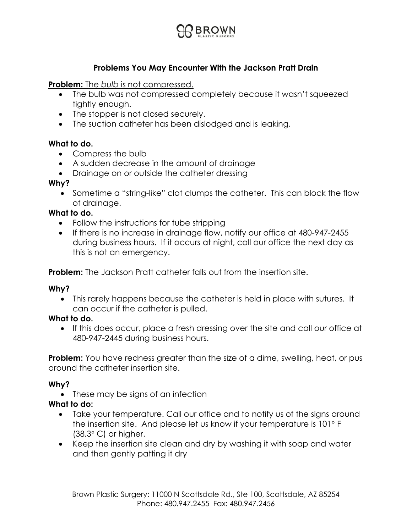

# **Problems You May Encounter With the Jackson Pratt Drain**

### **Problem:** The *bulb* is not compressed.

- The bulb was not compressed completely because it wasn't squeezed tightly enough.
- The stopper is not closed securely.
- The suction catheter has been dislodged and is leaking.

### **What to do.**

- Compress the bulb
- A sudden decrease in the amount of drainage
- Drainage on or outside the catheter dressing

### **Why?**

• Sometime a "string-like" clot clumps the catheter. This can block the flow of drainage.

# **What to do.**

- Follow the instructions for tube stripping
- If there is no increase in drainage flow, notify our office at 480-947-2455 during business hours. If it occurs at night, call our office the next day as this is not an emergency.

# **Problem:** The Jackson Pratt catheter falls out from the insertion site.

# **Why?**

• This rarely happens because the catheter is held in place with sutures. It can occur if the catheter is pulled.

# **What to do.**

• If this does occur, place a fresh dressing over the site and call our office at 480-947-2445 during business hours.

**Problem:** You have redness greater than the size of a dime, swelling, heat, or pus around the catheter insertion site.

# **Why?**

• These may be signs of an infection

# **What to do:**

- Take your temperature. Call our office and to notify us of the signs around the insertion site. And please let us know if your temperature is  $101^\circ$  F  $(38.3^{\circ} \text{ C})$  or higher.
- Keep the insertion site clean and dry by washing it with soap and water and then gently patting it dry